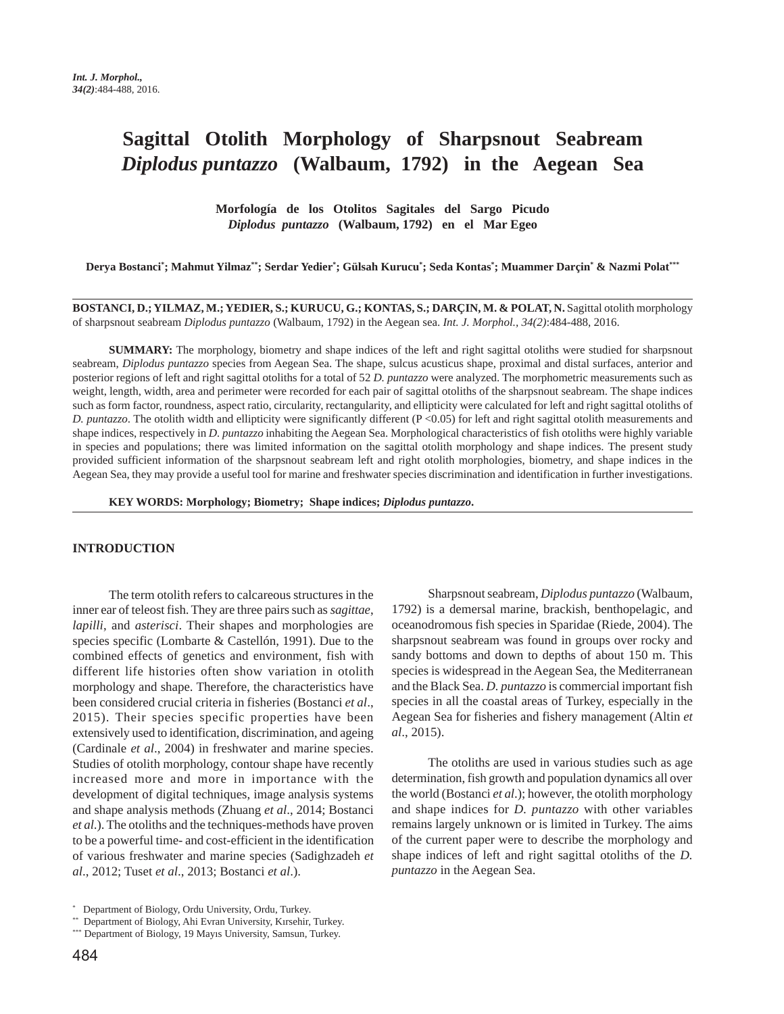# **Sagittal Otolith Morphology of Sharpsnout Seabream** *Diplodus puntazzo* **(Walbaum, 1792) in the Aegean Sea**

**Morfología de los Otolitos Sagitales del Sargo Picudo** *Diplodus puntazzo* **(Walbaum, 1792) en el Mar Egeo**

**Derya Bostanci\* ; Mahmut Yilmaz\*\*; Serdar Yedier\* ; Gülsah Kurucu\* ; Seda Kontas\* ; Muammer Darçin\* & Nazmi Polat\*\*\***

**BOSTANCI, D.; YILMAZ, M.; YEDIER, S.; KURUCU, G.; KONTAS, S.; DARÇIN, M. & POLAT, N.** Sagittal otolith morphology of sharpsnout seabream *Diplodus puntazzo* (Walbaum, 1792) in the Aegean sea. *Int. J. Morphol., 34(2)*:484-488, 2016.

**SUMMARY:** The morphology, biometry and shape indices of the left and right sagittal otoliths were studied for sharpsnout seabream, *Diplodus puntazzo* species from Aegean Sea. The shape, sulcus acusticus shape, proximal and distal surfaces, anterior and posterior regions of left and right sagittal otoliths for a total of 52 *D. puntazzo* were analyzed. The morphometric measurements such as weight, length, width, area and perimeter were recorded for each pair of sagittal otoliths of the sharpsnout seabream. The shape indices such as form factor, roundness, aspect ratio, circularity, rectangularity, and ellipticity were calculated for left and right sagittal otoliths of *D. puntazzo*. The otolith width and ellipticity were significantly different (P <0.05) for left and right sagittal otolith measurements and shape indices, respectively in *D. puntazzo* inhabiting the Aegean Sea. Morphological characteristics of fish otoliths were highly variable in species and populations; there was limited information on the sagittal otolith morphology and shape indices. The present study provided sufficient information of the sharpsnout seabream left and right otolith morphologies, biometry, and shape indices in the Aegean Sea, they may provide a useful tool for marine and freshwater species discrimination and identification in further investigations.

**KEY WORDS: Morphology; Biometry; Shape indices;** *Diplodus puntazzo***.**

### **INTRODUCTION**

The term otolith refers to calcareous structures in the inner ear of teleost fish. They are three pairs such as *sagittae*, *lapilli*, and *asterisci*. Their shapes and morphologies are species specific (Lombarte & Castellón, 1991). Due to the combined effects of genetics and environment, fish with different life histories often show variation in otolith morphology and shape. Therefore, the characteristics have been considered crucial criteria in fisheries (Bostanci *et al*., 2015). Their species specific properties have been extensively used to identification, discrimination, and ageing (Cardinale *et al*., 2004) in freshwater and marine species. Studies of otolith morphology, contour shape have recently increased more and more in importance with the development of digital techniques, image analysis systems and shape analysis methods (Zhuang *et al*., 2014; Bostanci *et al*.). The otoliths and the techniques-methods have proven to be a powerful time- and cost-efficient in the identification of various freshwater and marine species (Sadighzadeh *et al*., 2012; Tuset *et al*., 2013; Bostanci *et al*.).

Sharpsnout seabream, *Diplodus puntazzo* (Walbaum, 1792) is a demersal marine, brackish, benthopelagic, and oceanodromous fish species in Sparidae (Riede, 2004). The sharpsnout seabream was found in groups over rocky and sandy bottoms and down to depths of about 150 m. This species is widespread in the Aegean Sea, the Mediterranean and the Black Sea. *D. puntazzo* is commercial important fish species in all the coastal areas of Turkey, especially in the Aegean Sea for fisheries and fishery management (Altin *et al*., 2015).

The otoliths are used in various studies such as age determination, fish growth and population dynamics all over the world (Bostanci *et al*.); however, the otolith morphology and shape indices for *D. puntazzo* with other variables remains largely unknown or is limited in Turkey. The aims of the current paper were to describe the morphology and shape indices of left and right sagittal otoliths of the *D. puntazzo* in the Aegean Sea.

<sup>\*</sup> Department of Biology, Ordu University, Ordu, Turkey.

<sup>\*\*</sup> Department of Biology, Ahi Evran University, Kırsehir, Turkey.

<sup>\*\*\*</sup> Department of Biology, 19 Mayıs University, Samsun, Turkey.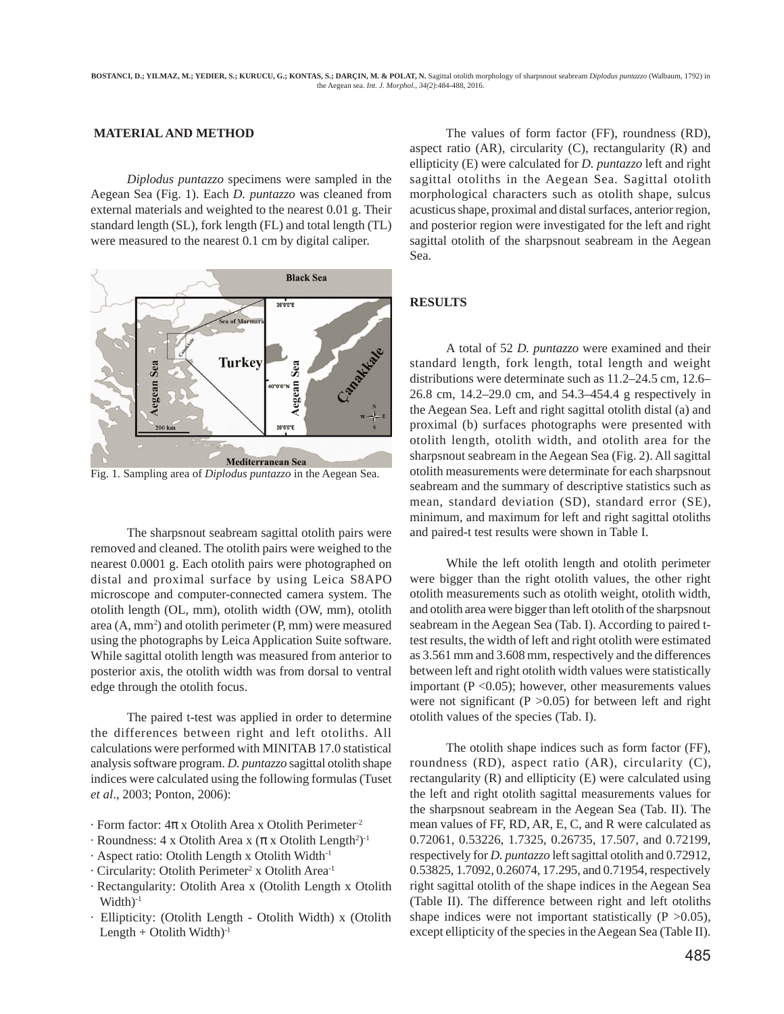### **MATERIAL AND METHOD**

*Diplodus puntazzo* specimens were sampled in the Aegean Sea (Fig. 1). Each *D. puntazzo* was cleaned from external materials and weighted to the nearest 0.01 g. Their standard length (SL), fork length (FL) and total length (TL) were measured to the nearest 0.1 cm by digital caliper.



Fig. 1. Sampling area of *Diplodus puntazzo* in the Aegean Sea.

The sharpsnout seabream sagittal otolith pairs were removed and cleaned. The otolith pairs were weighed to the nearest 0.0001 g. Each otolith pairs were photographed on distal and proximal surface by using Leica S8APO microscope and computer-connected camera system. The otolith length (OL, mm), otolith width (OW, mm), otolith area  $(A, \text{mm}^2)$  and otolith perimeter  $(P, \text{mm})$  were measured using the photographs by Leica Application Suite software. While sagittal otolith length was measured from anterior to posterior axis, the otolith width was from dorsal to ventral edge through the otolith focus.

The paired t-test was applied in order to determine the differences between right and left otoliths. All calculations were performed with MINITAB 17.0 statistical analysis software program. *D. puntazzo* sagittal otolith shape indices were calculated using the following formulas (Tuset *et al*., 2003; Ponton, 2006):

- · Form factor: 4π x Otolith Area x Otolith Perimeter-2
- $\cdot$  Roundness: 4 x Otolith Area x ( $\pi$  x Otolith Length<sup>2</sup>)<sup>-1</sup>
- · Aspect ratio: Otolith Length x Otolith Width-1
- · Circularity: Otolith Perimeter<sup>2</sup> x Otolith Area<sup>-1</sup>
- · Rectangularity: Otolith Area x (Otolith Length x Otolith  $Width)^{-1}$
- · Ellipticity: (Otolith Length Otolith Width) x (Otolith Length + Otolith Width $)^1$

The values of form factor (FF), roundness (RD), aspect ratio (AR), circularity  $(C)$ , rectangularity  $(R)$  and ellipticity (E) were calculated for *D. puntazzo* left and right sagittal otoliths in the Aegean Sea. Sagittal otolith morphological characters such as otolith shape, sulcus acusticus shape, proximal and distal surfaces, anterior region, and posterior region were investigated for the left and right sagittal otolith of the sharpsnout seabream in the Aegean Sea.

## **RESULTS**

A total of 52 *D. puntazzo* were examined and their standard length, fork length, total length and weight distributions were determinate such as 11.2–24.5 cm, 12.6– 26.8 cm, 14.2–29.0 cm, and 54.3–454.4 g respectively in the Aegean Sea. Left and right sagittal otolith distal (a) and proximal (b) surfaces photographs were presented with otolith length, otolith width, and otolith area for the sharpsnout seabream in the Aegean Sea (Fig. 2). All sagittal otolith measurements were determinate for each sharpsnout seabream and the summary of descriptive statistics such as mean, standard deviation (SD), standard error (SE), minimum, and maximum for left and right sagittal otoliths and paired-t test results were shown in Table I.

While the left otolith length and otolith perimeter were bigger than the right otolith values, the other right otolith measurements such as otolith weight, otolith width, and otolith area were bigger than left otolith of the sharpsnout seabream in the Aegean Sea (Tab. I). According to paired ttest results, the width of left and right otolith were estimated as 3.561 mm and 3.608 mm, respectively and the differences between left and right otolith width values were statistically important ( $P \le 0.05$ ); however, other measurements values were not significant ( $P > 0.05$ ) for between left and right otolith values of the species (Tab. I).

The otolith shape indices such as form factor (FF), roundness (RD), aspect ratio (AR), circularity (C), rectangularity (R) and ellipticity (E) were calculated using the left and right otolith sagittal measurements values for the sharpsnout seabream in the Aegean Sea (Tab. II). The mean values of FF, RD, AR, E, C, and R were calculated as 0.72061, 0.53226, 1.7325, 0.26735, 17.507, and 0.72199, respectively for *D. puntazzo* left sagittal otolith and 0.72912, 0.53825, 1.7092, 0.26074, 17.295, and 0.71954, respectively right sagittal otolith of the shape indices in the Aegean Sea (Table II). The difference between right and left otoliths shape indices were not important statistically  $(P > 0.05)$ , except ellipticity of the species in the Aegean Sea (Table II).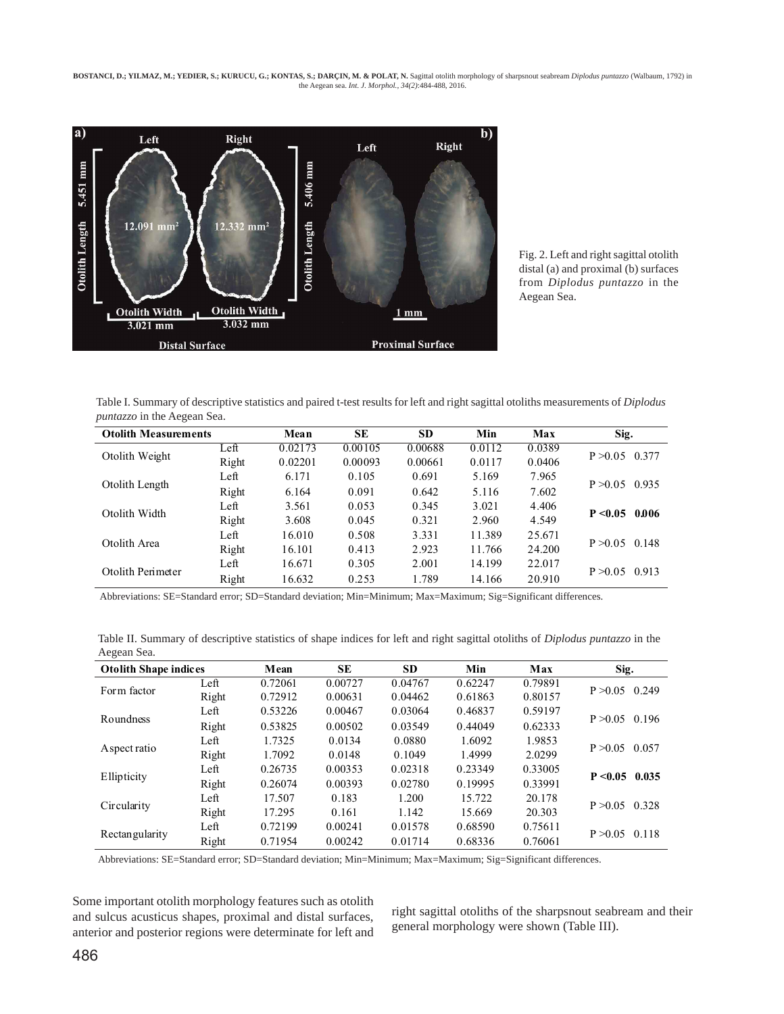**BOSTANCI, D.; YILMAZ, M.; YEDIER, S.; KURUCU, G.; KONTAS, S.; DARÇIN, M. & POLAT, N.** Sagittal otolith morphology of sharpsnout seabream *Diplodus puntazzo* (Walbaum, 1792) in the Aegean sea. *Int. J. Morphol., 34(2)*:484-488, 2016.



Fig. 2. Left and right sagittal otolith distal (a) and proximal (b) surfaces from *Diplodus puntazzo* in the Aegean Sea.

Table I. Summary of descriptive statistics and paired t-test results for left and right sagittal otoliths measurements of *Diplodus puntazzo* in the Aegean Sea.

| <b>Otolith Measurements</b> |       | Mean    | <b>SE</b> | <b>SD</b> | Min    | Max    | Sig.              |
|-----------------------------|-------|---------|-----------|-----------|--------|--------|-------------------|
| Otolith Weight              | Left  | 0.02173 | 0.00105   | 0.00688   | 0.0112 | 0.0389 | 0.377             |
|                             | Right | 0.02201 | 0.00093   | 0.00661   | 0.0117 | 0.0406 | P > 0.05          |
| Otolith Length              | Left  | 6.171   | 0.105     | 0.691     | 5.169  | 7.965  | $P > 0.05$ 0.935  |
|                             | Right | 6.164   | 0.091     | 0.642     | 5.116  | 7.602  |                   |
| Otolith Width               | Left  | 3.561   | 0.053     | 0.345     | 3.021  | 4.406  |                   |
|                             | Right | 3.608   | 0.045     | 0.321     | 2.960  | 4.549  | P < 0.05<br>0.006 |
| Otolith Area                | Left  | 16.010  | 0.508     | 3.331     | 11.389 | 25.671 |                   |
|                             | Right | 16.101  | 0.413     | 2.923     | 11.766 | 24.200 | P > 0.05<br>0.148 |
| Otolith Perimeter           | Left  | 16.671  | 0.305     | 2.001     | 14.199 | 22.017 | P > 0.05<br>0.913 |
|                             | Right | 16.632  | 0.253     | 1.789     | 14.166 | 20.910 |                   |

Abbreviations: SE=Standard error; SD=Standard deviation; Min=Minimum; Max=Maximum; Sig=Significant differences.

Table II. Summary of descriptive statistics of shape indices for left and right sagittal otoliths of *Diplodus puntazzo* in the Aegean Sea.

| <b>Otolith Shape indices</b> |       | Mean    | SE      | <b>SD</b> | Min     | Max     | Sig.              |
|------------------------------|-------|---------|---------|-----------|---------|---------|-------------------|
| Form factor                  | Left  | 0.72061 | 0.00727 | 0.04767   | 0.62247 | 0.79891 | 0.249<br>P > 0.05 |
|                              | Right | 0.72912 | 0.00631 | 0.04462   | 0.61863 | 0.80157 |                   |
| Roundness                    | Left  | 0.53226 | 0.00467 | 0.03064   | 0.46837 | 0.59197 | P > 0.05<br>0.196 |
|                              | Right | 0.53825 | 0.00502 | 0.03549   | 0.44049 | 0.62333 |                   |
| A spect ratio                | Left  | 1.7325  | 0.0134  | 0.0880    | 1.6092  | 1.9853  |                   |
|                              | Right | 1.7092  | 0.0148  | 0.1049    | 1.4999  | 2.0299  | P > 0.05<br>0.057 |
| Ellipticity                  | Left  | 0.26735 | 0.00353 | 0.02318   | 0.23349 | 0.33005 | $P < 0.05$ 0.035  |
|                              | Right | 0.26074 | 0.00393 | 0.02780   | 0.19995 | 0.33991 |                   |
| Circularity                  | Left  | 17.507  | 0.183   | 1.200     | 15.722  | 20.178  |                   |
|                              | Right | 17.295  | 0.161   | 1.142     | 15.669  | 20.303  | P > 0.05<br>0.328 |
| Rectangularity               | Left  | 0.72199 | 0.00241 | 0.01578   | 0.68590 | 0.75611 | P > 0.05<br>0.118 |
|                              | Right | 0.71954 | 0.00242 | 0.01714   | 0.68336 | 0.76061 |                   |

Abbreviations: SE=Standard error; SD=Standard deviation; Min=Minimum; Max=Maximum; Sig=Significant differences.

Some important otolith morphology features such as otolith and sulcus acusticus shapes, proximal and distal surfaces, anterior and posterior regions were determinate for left and

right sagittal otoliths of the sharpsnout seabream and their general morphology were shown (Table III).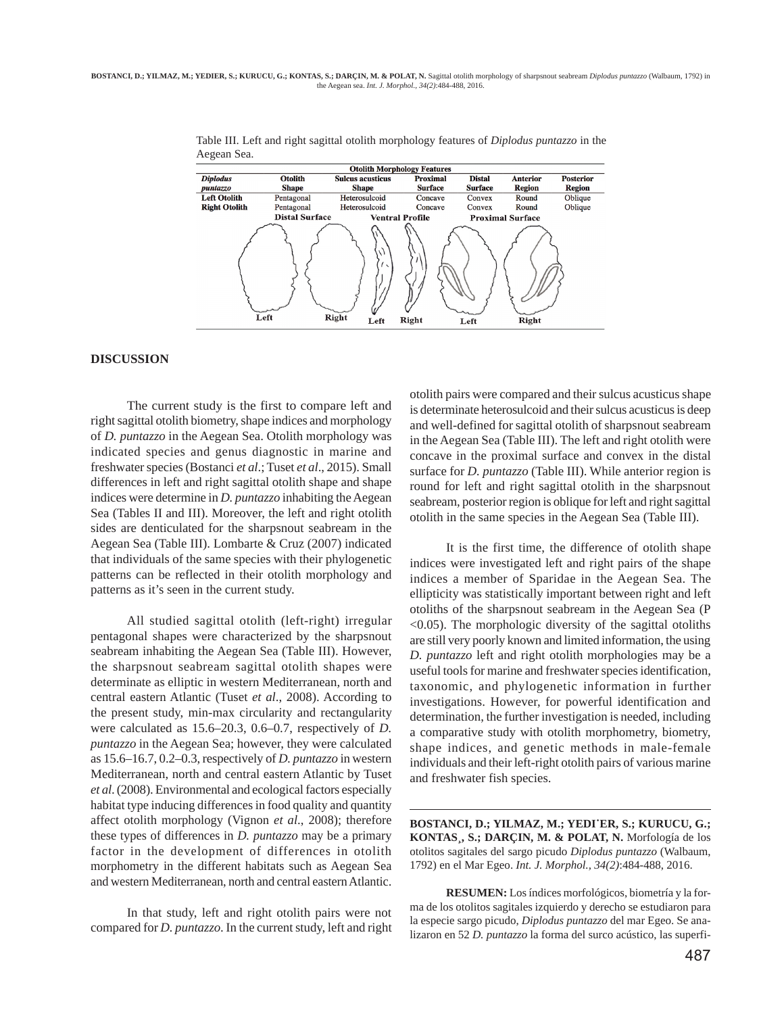

Table III. Left and right sagittal otolith morphology features of *Diplodus puntazzo* in the Aegean Sea.

#### **DISCUSSION**

The current study is the first to compare left and right sagittal otolith biometry, shape indices and morphology of *D. puntazzo* in the Aegean Sea. Otolith morphology was indicated species and genus diagnostic in marine and freshwater species (Bostanci *et al*.; Tuset *et al*., 2015). Small differences in left and right sagittal otolith shape and shape indices were determine in *D. puntazzo* inhabiting the Aegean Sea (Tables II and III). Moreover, the left and right otolith sides are denticulated for the sharpsnout seabream in the Aegean Sea (Table III). Lombarte & Cruz (2007) indicated that individuals of the same species with their phylogenetic patterns can be reflected in their otolith morphology and patterns as it's seen in the current study.

All studied sagittal otolith (left-right) irregular pentagonal shapes were characterized by the sharpsnout seabream inhabiting the Aegean Sea (Table III). However, the sharpsnout seabream sagittal otolith shapes were determinate as elliptic in western Mediterranean, north and central eastern Atlantic (Tuset *et al*., 2008). According to the present study, min-max circularity and rectangularity were calculated as 15.6–20.3, 0.6–0.7, respectively of *D. puntazzo* in the Aegean Sea; however, they were calculated as 15.6–16.7, 0.2–0.3, respectively of *D. puntazzo* in western Mediterranean, north and central eastern Atlantic by Tuset *et al*. (2008). Environmental and ecological factors especially habitat type inducing differences in food quality and quantity affect otolith morphology (Vignon *et al*., 2008); therefore these types of differences in *D. puntazzo* may be a primary factor in the development of differences in otolith morphometry in the different habitats such as Aegean Sea and western Mediterranean, north and central eastern Atlantic.

In that study, left and right otolith pairs were not compared for *D. puntazzo*. In the current study, left and right

otolith pairs were compared and their sulcus acusticus shape is determinate heterosulcoid and their sulcus acusticus is deep and well-defined for sagittal otolith of sharpsnout seabream in the Aegean Sea (Table III). The left and right otolith were concave in the proximal surface and convex in the distal surface for *D. puntazzo* (Table III). While anterior region is round for left and right sagittal otolith in the sharpsnout seabream, posterior region is oblique for left and right sagittal otolith in the same species in the Aegean Sea (Table III).

It is the first time, the difference of otolith shape indices were investigated left and right pairs of the shape indices a member of Sparidae in the Aegean Sea. The ellipticity was statistically important between right and left otoliths of the sharpsnout seabream in the Aegean Sea (P <0.05). The morphologic diversity of the sagittal otoliths are still very poorly known and limited information, the using *D. puntazzo* left and right otolith morphologies may be a useful tools for marine and freshwater species identification, taxonomic, and phylogenetic information in further investigations. However, for powerful identification and determination, the further investigation is needed, including a comparative study with otolith morphometry, biometry, shape indices, and genetic methods in male-female individuals and their left-right otolith pairs of various marine and freshwater fish species.

**BOSTANCI, D.; YILMAZ, M.; YEDI˙ER, S.; KURUCU, G.; KONTAS¸, S.; DARÇIN, M. & POLAT, N.** Morfología de los otolitos sagitales del sargo picudo *Diplodus puntazzo* (Walbaum, 1792) en el Mar Egeo. *Int. J. Morphol., 34(2)*:484-488, 2016.

**RESUMEN:** Los índices morfológicos, biometría y la forma de los otolitos sagitales izquierdo y derecho se estudiaron para la especie sargo picudo, *Diplodus puntazzo* del mar Egeo. Se analizaron en 52 *D. puntazzo* la forma del surco acústico, las superfi-